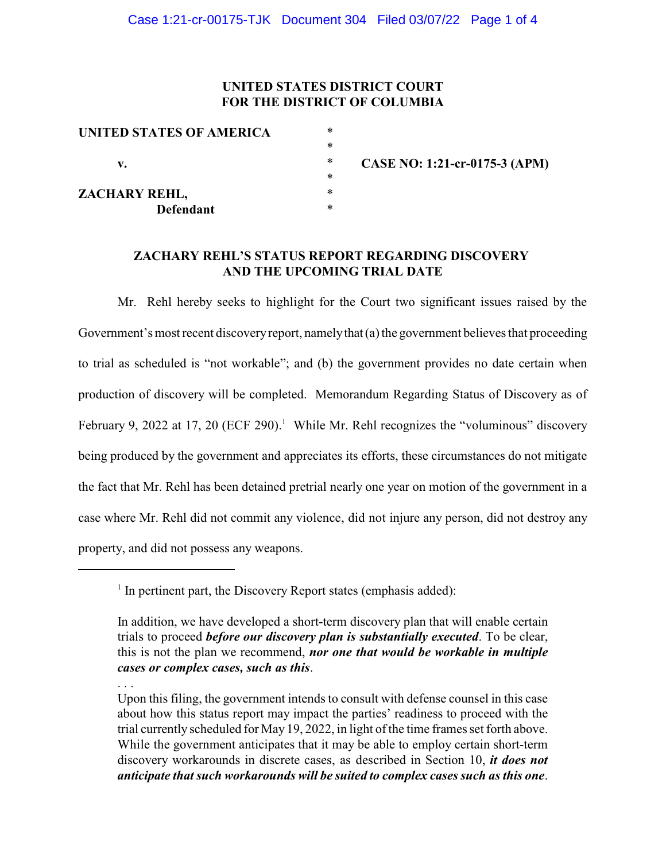# **UNITED STATES DISTRICT COURT FOR THE DISTRICT OF COLUMBIA**

| UNITED STATES OF AMERICA | * |                               |
|--------------------------|---|-------------------------------|
|                          | ∗ |                               |
| v.                       | ∗ | CASE NO: 1:21-cr-0175-3 (APM) |
|                          | ∗ |                               |
| ZACHARY REHL,            | ∗ |                               |
| <b>Defendant</b>         | ∗ |                               |

# **ZACHARY REHL'S STATUS REPORT REGARDING DISCOVERY AND THE UPCOMING TRIAL DATE**

Mr. Rehl hereby seeks to highlight for the Court two significant issues raised by the Government's most recent discovery report, namely that (a) the government believes that proceeding to trial as scheduled is "not workable"; and (b) the government provides no date certain when production of discovery will be completed. Memorandum Regarding Status of Discovery as of February 9, 2022 at 17, 20 (ECF 290).<sup>1</sup> While Mr. Rehl recognizes the "voluminous" discovery being produced by the government and appreciates its efforts, these circumstances do not mitigate the fact that Mr. Rehl has been detained pretrial nearly one year on motion of the government in a case where Mr. Rehl did not commit any violence, did not injure any person, did not destroy any property, and did not possess any weapons.

. . .

Upon this filing, the government intends to consult with defense counsel in this case about how this status report may impact the parties' readiness to proceed with the trial currently scheduled for May 19, 2022, in light of the time frames set forth above. While the government anticipates that it may be able to employ certain short-term discovery workarounds in discrete cases, as described in Section 10, *it does not anticipate that such workarounds will be suited to complex cases such as this one*.

 $<sup>1</sup>$  In pertinent part, the Discovery Report states (emphasis added):</sup>

In addition, we have developed a short-term discovery plan that will enable certain trials to proceed *before our discovery plan is substantially executed*. To be clear, this is not the plan we recommend, *nor one that would be workable in multiple cases or complex cases, such as this*.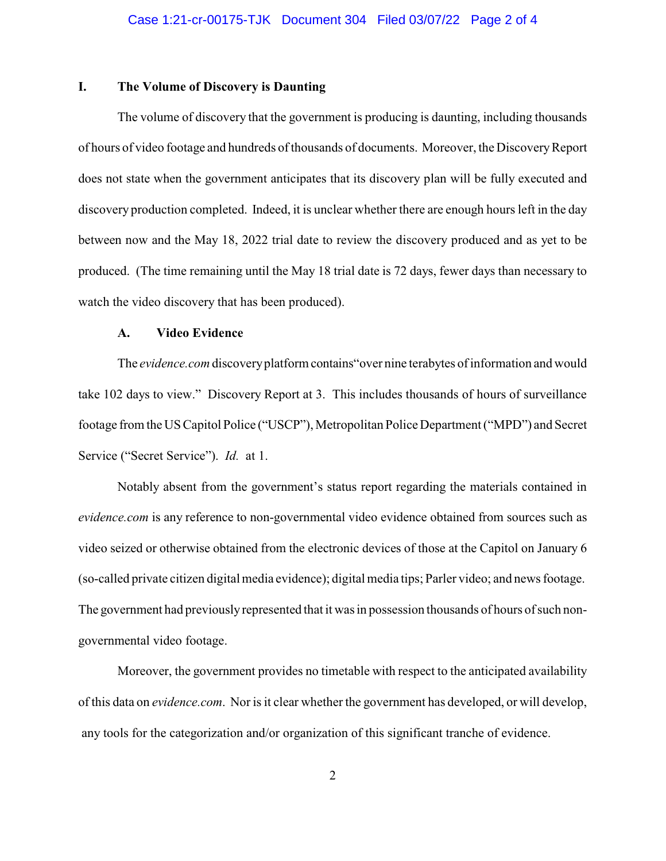## **I. The Volume of Discovery is Daunting**

The volume of discovery that the government is producing is daunting, including thousands of hours of video footage and hundreds of thousands of documents. Moreover, the DiscoveryReport does not state when the government anticipates that its discovery plan will be fully executed and discovery production completed. Indeed, it is unclear whether there are enough hours left in the day between now and the May 18, 2022 trial date to review the discovery produced and as yet to be produced. (The time remaining until the May 18 trial date is 72 days, fewer days than necessary to watch the video discovery that has been produced).

#### **A. Video Evidence**

The *evidence.com* discoveryplatform contains"over nine terabytes of information and would take 102 days to view." Discovery Report at 3. This includes thousands of hours of surveillance footage from the US Capitol Police ("USCP"), Metropolitan Police Department ("MPD") and Secret Service ("Secret Service"). *Id.* at 1.

Notably absent from the government's status report regarding the materials contained in *evidence.com* is any reference to non-governmental video evidence obtained from sources such as video seized or otherwise obtained from the electronic devices of those at the Capitol on January 6 (so-called private citizen digital media evidence); digital media tips; Parler video; and news footage. The government had previouslyrepresented that it was in possession thousands of hours of such nongovernmental video footage.

Moreover, the government provides no timetable with respect to the anticipated availability of this data on *evidence.com*. Nor is it clear whetherthe government has developed, or will develop, any tools for the categorization and/or organization of this significant tranche of evidence.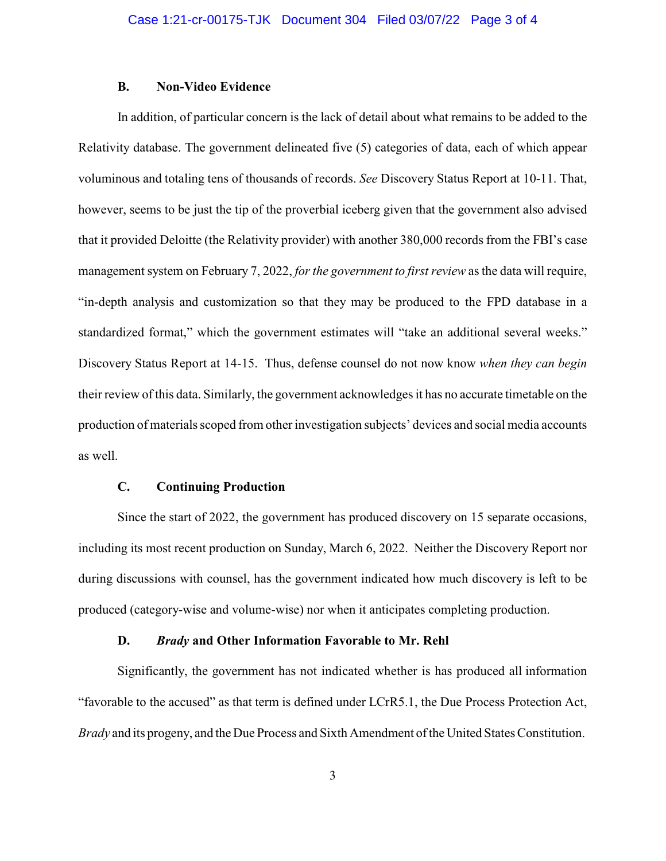#### **B. Non-Video Evidence**

In addition, of particular concern is the lack of detail about what remains to be added to the Relativity database. The government delineated five (5) categories of data, each of which appear voluminous and totaling tens of thousands of records. *See* Discovery Status Report at 10-11. That, however, seems to be just the tip of the proverbial iceberg given that the government also advised that it provided Deloitte (the Relativity provider) with another 380,000 records from the FBI's case management system on February 7, 2022, *for the government to first review* as the data will require, "in-depth analysis and customization so that they may be produced to the FPD database in a standardized format," which the government estimates will "take an additional several weeks." Discovery Status Report at 14-15. Thus, defense counsel do not now know *when they can begin* their review of this data. Similarly, the government acknowledges it has no accurate timetable on the production of materials scoped from other investigation subjects' devices and social media accounts as well.

### **C. Continuing Production**

Since the start of 2022, the government has produced discovery on 15 separate occasions, including its most recent production on Sunday, March 6, 2022. Neither the Discovery Report nor during discussions with counsel, has the government indicated how much discovery is left to be produced (category-wise and volume-wise) nor when it anticipates completing production.

### **D.** *Brady* **and Other Information Favorable to Mr. Rehl**

Significantly, the government has not indicated whether is has produced all information "favorable to the accused" as that term is defined under LCrR5.1, the Due Process Protection Act, *Brady* and its progeny, and the Due Process and Sixth Amendment of the United States Constitution.